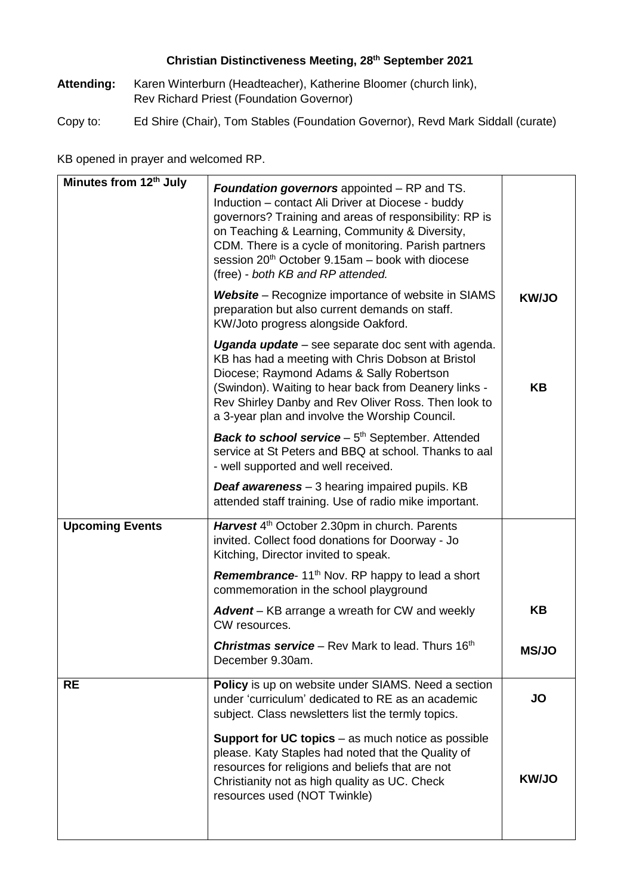## **Christian Distinctiveness Meeting, 28th September 2021**

- **Attending:** Karen Winterburn (Headteacher), Katherine Bloomer (church link), Rev Richard Priest (Foundation Governor)
- Copy to: Ed Shire (Chair), Tom Stables (Foundation Governor), Revd Mark Siddall (curate)

KB opened in prayer and welcomed RP.

| Minutes from 12th July | <b>Foundation governors</b> appointed – RP and TS.<br>Induction - contact Ali Driver at Diocese - buddy<br>governors? Training and areas of responsibility: RP is<br>on Teaching & Learning, Community & Diversity,<br>CDM. There is a cycle of monitoring. Parish partners<br>session 20 <sup>th</sup> October 9.15am - book with diocese<br>(free) - both KB and RP attended. |              |
|------------------------|---------------------------------------------------------------------------------------------------------------------------------------------------------------------------------------------------------------------------------------------------------------------------------------------------------------------------------------------------------------------------------|--------------|
|                        | <b>Website</b> – Recognize importance of website in SIAMS<br>preparation but also current demands on staff.<br>KW/Joto progress alongside Oakford.                                                                                                                                                                                                                              | <b>KW/JO</b> |
|                        | Uganda update – see separate doc sent with agenda.<br>KB has had a meeting with Chris Dobson at Bristol<br>Diocese; Raymond Adams & Sally Robertson<br>(Swindon). Waiting to hear back from Deanery links -<br>Rev Shirley Danby and Rev Oliver Ross. Then look to<br>a 3-year plan and involve the Worship Council.                                                            | <b>KB</b>    |
|                        | <b>Back to school service</b> $-5th$ September. Attended<br>service at St Peters and BBQ at school. Thanks to aal<br>- well supported and well received.                                                                                                                                                                                                                        |              |
|                        | <b>Deaf awareness</b> – 3 hearing impaired pupils. KB<br>attended staff training. Use of radio mike important.                                                                                                                                                                                                                                                                  |              |
| <b>Upcoming Events</b> | Harvest 4 <sup>th</sup> October 2.30pm in church. Parents<br>invited. Collect food donations for Doorway - Jo<br>Kitching, Director invited to speak.                                                                                                                                                                                                                           |              |
|                        | <b>Remembrance</b> 11 <sup>th</sup> Nov. RP happy to lead a short<br>commemoration in the school playground                                                                                                                                                                                                                                                                     |              |
|                        | <b>Advent</b> – KB arrange a wreath for CW and weekly<br>CW resources.                                                                                                                                                                                                                                                                                                          | KB           |
|                        | <b>Christmas service</b> - Rev Mark to lead. Thurs 16th<br>December 9.30am.                                                                                                                                                                                                                                                                                                     | <b>MS/JO</b> |
| <b>RE</b>              | Policy is up on website under SIAMS. Need a section<br>under 'curriculum' dedicated to RE as an academic<br>subject. Class newsletters list the termly topics.                                                                                                                                                                                                                  | JO           |
|                        | <b>Support for UC topics</b> – as much notice as possible<br>please. Katy Staples had noted that the Quality of<br>resources for religions and beliefs that are not<br>Christianity not as high quality as UC. Check<br>resources used (NOT Twinkle)                                                                                                                            | <b>KW/JO</b> |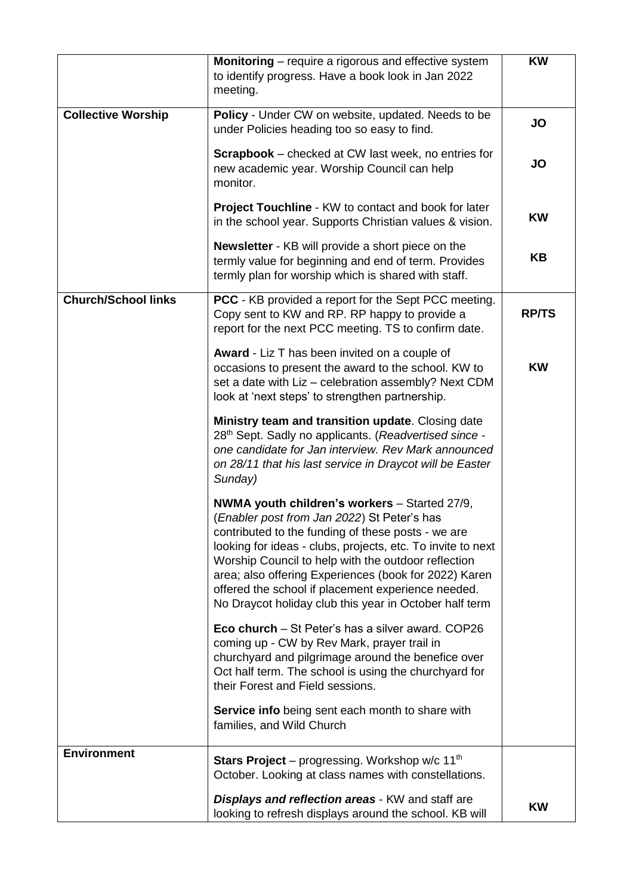|                            | Monitoring - require a rigorous and effective system<br>to identify progress. Have a book look in Jan 2022<br>meeting.                                                                                                                                                                                                                                                                                                                            | <b>KW</b>    |
|----------------------------|---------------------------------------------------------------------------------------------------------------------------------------------------------------------------------------------------------------------------------------------------------------------------------------------------------------------------------------------------------------------------------------------------------------------------------------------------|--------------|
| <b>Collective Worship</b>  | Policy - Under CW on website, updated. Needs to be<br>under Policies heading too so easy to find.                                                                                                                                                                                                                                                                                                                                                 | <b>JO</b>    |
|                            | <b>Scrapbook</b> – checked at CW last week, no entries for<br>new academic year. Worship Council can help<br>monitor.                                                                                                                                                                                                                                                                                                                             | JO           |
|                            | <b>Project Touchline - KW to contact and book for later</b><br>in the school year. Supports Christian values & vision.                                                                                                                                                                                                                                                                                                                            | <b>KW</b>    |
|                            | <b>Newsletter</b> - KB will provide a short piece on the<br>termly value for beginning and end of term. Provides<br>termly plan for worship which is shared with staff.                                                                                                                                                                                                                                                                           | KB           |
| <b>Church/School links</b> | PCC - KB provided a report for the Sept PCC meeting.<br>Copy sent to KW and RP. RP happy to provide a<br>report for the next PCC meeting. TS to confirm date.                                                                                                                                                                                                                                                                                     | <b>RP/TS</b> |
|                            | <b>Award</b> - Liz T has been invited on a couple of<br>occasions to present the award to the school. KW to<br>set a date with Liz - celebration assembly? Next CDM<br>look at 'next steps' to strengthen partnership.                                                                                                                                                                                                                            | <b>KW</b>    |
|                            | Ministry team and transition update. Closing date<br>28th Sept. Sadly no applicants. (Readvertised since -<br>one candidate for Jan interview. Rev Mark announced<br>on 28/11 that his last service in Draycot will be Easter<br>Sunday)                                                                                                                                                                                                          |              |
|                            | NWMA youth children's workers - Started 27/9,<br>(Enabler post from Jan 2022) St Peter's has<br>contributed to the funding of these posts - we are<br>looking for ideas - clubs, projects, etc. To invite to next<br>Worship Council to help with the outdoor reflection<br>area; also offering Experiences (book for 2022) Karen<br>offered the school if placement experience needed.<br>No Draycot holiday club this year in October half term |              |
|                            | <b>Eco church</b> – St Peter's has a silver award. COP26<br>coming up - CW by Rev Mark, prayer trail in<br>churchyard and pilgrimage around the benefice over<br>Oct half term. The school is using the churchyard for<br>their Forest and Field sessions.                                                                                                                                                                                        |              |
|                            | Service info being sent each month to share with<br>families, and Wild Church                                                                                                                                                                                                                                                                                                                                                                     |              |
| <b>Environment</b>         | <b>Stars Project</b> – progressing. Workshop w/c 11 <sup>th</sup><br>October. Looking at class names with constellations.                                                                                                                                                                                                                                                                                                                         |              |
|                            | <b>Displays and reflection areas - KW and staff are</b><br>looking to refresh displays around the school. KB will                                                                                                                                                                                                                                                                                                                                 | <b>KW</b>    |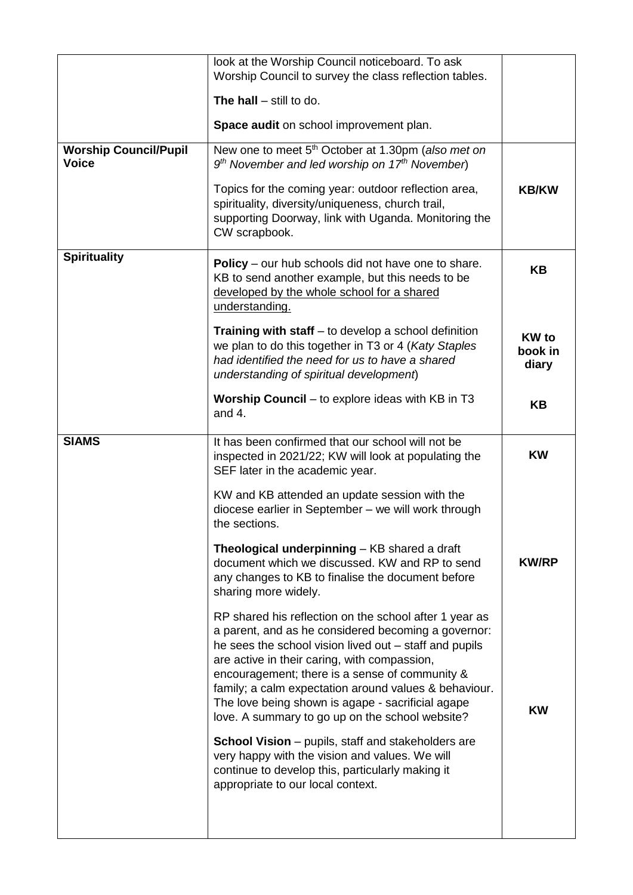|                                              | look at the Worship Council noticeboard. To ask<br>Worship Council to survey the class reflection tables.                                                                                                                                                                                                                                                                                                                                  |                                  |
|----------------------------------------------|--------------------------------------------------------------------------------------------------------------------------------------------------------------------------------------------------------------------------------------------------------------------------------------------------------------------------------------------------------------------------------------------------------------------------------------------|----------------------------------|
|                                              | The hall $-$ still to do.                                                                                                                                                                                                                                                                                                                                                                                                                  |                                  |
|                                              | Space audit on school improvement plan.                                                                                                                                                                                                                                                                                                                                                                                                    |                                  |
| <b>Worship Council/Pupil</b><br><b>Voice</b> | New one to meet 5 <sup>th</sup> October at 1.30pm (also met on<br>$9th$ November and led worship on 17 <sup>th</sup> November)                                                                                                                                                                                                                                                                                                             |                                  |
|                                              | Topics for the coming year: outdoor reflection area,<br>spirituality, diversity/uniqueness, church trail,<br>supporting Doorway, link with Uganda. Monitoring the<br>CW scrapbook.                                                                                                                                                                                                                                                         | <b>KB/KW</b>                     |
| <b>Spirituality</b>                          | <b>Policy</b> – our hub schools did not have one to share.<br>KB to send another example, but this needs to be<br>developed by the whole school for a shared<br>understanding.                                                                                                                                                                                                                                                             | KB                               |
|                                              | <b>Training with staff</b> – to develop a school definition<br>we plan to do this together in T3 or 4 (Katy Staples<br>had identified the need for us to have a shared<br>understanding of spiritual development)                                                                                                                                                                                                                          | <b>KW</b> to<br>book in<br>diary |
|                                              | <b>Worship Council</b> – to explore ideas with KB in T3<br>and $4.$                                                                                                                                                                                                                                                                                                                                                                        | KB                               |
| <b>SIAMS</b>                                 | It has been confirmed that our school will not be<br>inspected in 2021/22; KW will look at populating the<br>SEF later in the academic year.                                                                                                                                                                                                                                                                                               | <b>KW</b>                        |
|                                              | KW and KB attended an update session with the<br>diocese earlier in September - we will work through<br>the sections.                                                                                                                                                                                                                                                                                                                      |                                  |
|                                              | Theological underpinning - KB shared a draft<br>document which we discussed. KW and RP to send<br>any changes to KB to finalise the document before<br>sharing more widely.                                                                                                                                                                                                                                                                | <b>KW/RP</b>                     |
|                                              | RP shared his reflection on the school after 1 year as<br>a parent, and as he considered becoming a governor:<br>he sees the school vision lived out – staff and pupils<br>are active in their caring, with compassion,<br>encouragement; there is a sense of community &<br>family; a calm expectation around values & behaviour.<br>The love being shown is agape - sacrificial agape<br>love. A summary to go up on the school website? | KW                               |
|                                              | <b>School Vision</b> – pupils, staff and stakeholders are<br>very happy with the vision and values. We will<br>continue to develop this, particularly making it<br>appropriate to our local context.                                                                                                                                                                                                                                       |                                  |